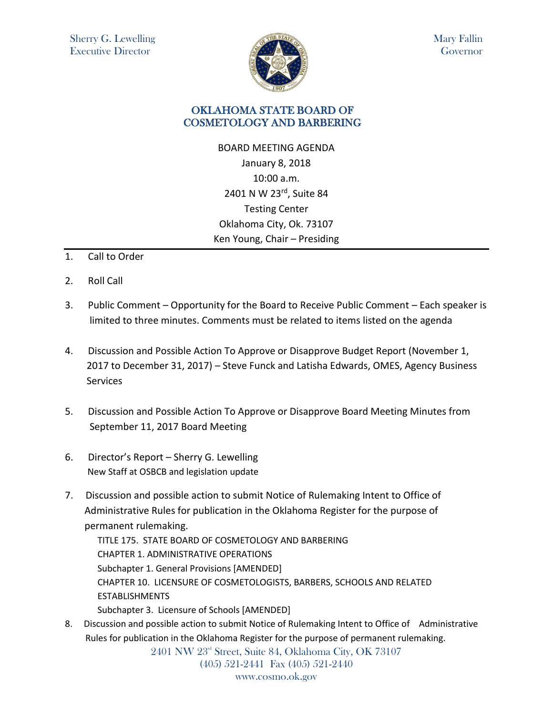

Mary Fallin Governor

## OKLAHOMA STATE BOARD OF COSMETOLOGY AND BARBERING

BOARD MEETING AGENDA January 8, 2018 10:00 a.m. 2401 N W 23rd, Suite 84 Testing Center Oklahoma City, Ok. 73107 Ken Young, Chair – Presiding

- 1. Call to Order
- 2. Roll Call
- 3. Public Comment Opportunity for the Board to Receive Public Comment Each speaker is limited to three minutes. Comments must be related to items listed on the agenda
- 4. Discussion and Possible Action To Approve or Disapprove Budget Report (November 1, 2017 to December 31, 2017) – Steve Funck and Latisha Edwards, OMES, Agency Business **Services**
- 5. Discussion and Possible Action To Approve or Disapprove Board Meeting Minutes from September 11, 2017 Board Meeting
- 6. Director's Report Sherry G. Lewelling New Staff at OSBCB and legislation update
- 7. Discussion and possible action to submit Notice of Rulemaking Intent to Office of Administrative Rules for publication in the Oklahoma Register for the purpose of permanent rulemaking.

TITLE 175. STATE BOARD OF COSMETOLOGY AND BARBERING CHAPTER 1. ADMINISTRATIVE OPERATIONS Subchapter 1. General Provisions [AMENDED] CHAPTER 10. LICENSURE OF COSMETOLOGISTS, BARBERS, SCHOOLS AND RELATED **ESTABLISHMENTS** 

Subchapter 3. Licensure of Schools [AMENDED]

8. Discussion and possible action to submit Notice of Rulemaking Intent to Office of Administrative Rules for publication in the Oklahoma Register for the purpose of permanent rulemaking.

2401 NW 23<sup>rd</sup> Street, Suite 84, Oklahoma City, OK 73107 (405) 521-2441 Fax (405) 521-2440 www.cosmo.ok.gov